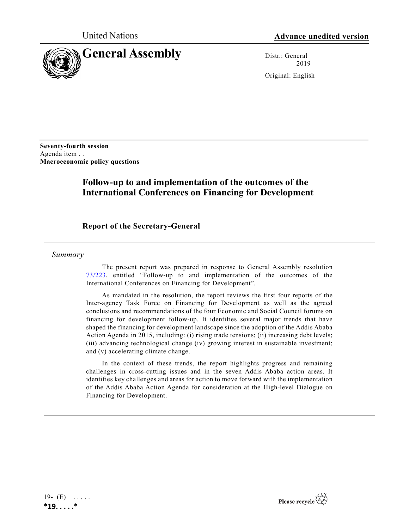

 2019 Original: English

**Seventy-fourth session** Agenda item . . **Macroeconomic policy questions**

# **Follow-up to and implementation of the outcomes of the International Conferences on Financing for Development**

# **Report of the Secretary-General**

*Summary*

The present report was prepared in response to General Assembly resolution [73/223,](https://undocs.org/A/RES/73/223) entitled "Follow-up to and implementation of the outcomes of the International Conferences on Financing for Development".

As mandated in the resolution, the report reviews the first four reports of the Inter-agency Task Force on Financing for Development as well as the agreed conclusions and recommendations of the four Economic and Social Council forums on financing for development follow-up. It identifies several major trends that have shaped the financing for development landscape since the adoption of the Addis Ababa Action Agenda in 2015, including: (i) rising trade tensions; (ii) increasing debt levels; (iii) advancing technological change (iv) growing interest in sustainable investment; and (v) accelerating climate change.

In the context of these trends, the report highlights progress and remaining challenges in cross-cutting issues and in the seven Addis Ababa action areas. It identifies key challenges and areas for action to move forward with the implementation of the Addis Ababa Action Agenda for consideration at the High-level Dialogue on Financing for Development.

19-  $(E)$  ..... **\*19. . . . .\***

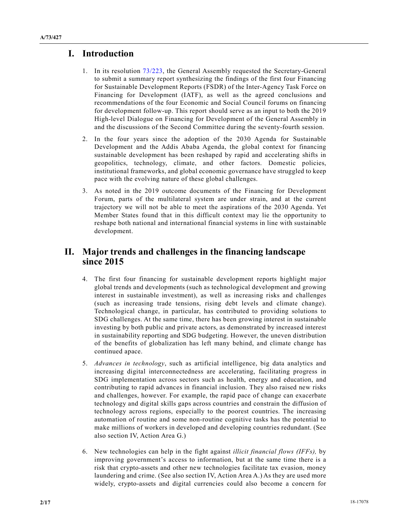# **I. Introduction**

- 1. In its resolution [73/223,](https://undocs.org/A/RES/73/223) the General Assembly requested the Secretary-General to submit a summary report synthesizing the findings of the first four Financing for Sustainable Development Reports (FSDR) of the Inter-Agency Task Force on Financing for Development (IATF), as well as the agreed conclusions and recommendations of the four Economic and Social Council forums on financing for development follow-up. This report should serve as an input to both the 2019 High-level Dialogue on Financing for Development of the General Assembly in and the discussions of the Second Committee during the seventy-fourth session.
- 2. In the four years since the adoption of the 2030 Agenda for Sustainable Development and the Addis Ababa Agenda, the global context for financing sustainable development has been reshaped by rapid and accelerating shifts in geopolitics, technology, climate, and other factors. Domestic policies, institutional frameworks, and global economic governance have struggled to keep pace with the evolving nature of these global challenges.
- 3. As noted in the 2019 outcome documents of the Financing for Development Forum, parts of the multilateral system are under strain, and at the current trajectory we will not be able to meet the aspirations of the 2030 Agenda. Yet Member States found that in this difficult context may lie the opportunity to reshape both national and international financial systems in line with sustainable development.

# **II. Major trends and challenges in the financing landscape since 2015**

- 4. The first four financing for sustainable development reports highlight major global trends and developments (such as technological development and growing interest in sustainable investment), as well as increasing risks and challenges (such as increasing trade tensions, rising debt levels and climate change). Technological change, in particular, has contributed to providing solutions to SDG challenges. At the same time, there has been growing interest in sustainable investing by both public and private actors, as demonstrated by increased interest in sustainability reporting and SDG budgeting. However, the uneven distribution of the benefits of globalization has left many behind, and climate change has continued apace.
- 5. *Advances in technology*, such as artificial intelligence, big data analytics and increasing digital interconnectedness are accelerating, facilitating progress in SDG implementation across sectors such as health, energy and education, and contributing to rapid advances in financial inclusion. They also raised new risks and challenges, however. For example, the rapid pace of change can exacerbate technology and digital skills gaps across countries and constrain the diffusion of technology across regions, especially to the poorest countries. The increasing automation of routine and some non-routine cognitive tasks has the potential to make millions of workers in developed and developing countries redundant. (See also section IV, Action Area G.)
- 6. New technologies can help in the fight against *illicit financial flows (IFFs),* by improving government's access to information, but at the same time there is a risk that crypto-assets and other new technologies facilitate tax evasion, money laundering and crime. (See also section IV, Action Area A.) As they are used more widely, crypto-assets and digital currencies could also become a concern for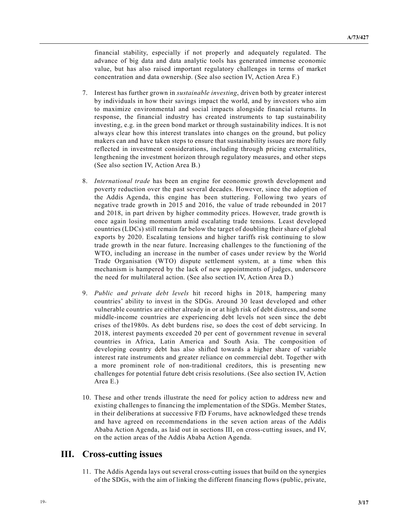financial stability, especially if not properly and adequately regulated. The advance of big data and data analytic tools has generated immense economic value, but has also raised important regulatory challenges in terms of market concentration and data ownership. (See also section IV, Action Area F.)

- 7. Interest has further grown in *sustainable investing*, driven both by greater interest by individuals in how their savings impact the world, and by investors who aim to maximize environmental and social impacts alongside financial returns. In response, the financial industry has created instruments to tap sustainability investing, e.g. in the green bond market or through sustainability indices. It is not always clear how this interest translates into changes on the ground, but policy makers can and have taken steps to ensure that sustainability issues are more fully reflected in investment considerations, including through pricing externalities, lengthening the investment horizon through regulatory measures, and other steps (See also section IV, Action Area B.)
- 8. *International trade* has been an engine for economic growth development and poverty reduction over the past several decades. However, since the adoption of the Addis Agenda, this engine has been stuttering. Following two years of negative trade growth in 2015 and 2016, the value of trade rebounded in 2017 and 2018, in part driven by higher commodity prices. However, trade growth is once again losing momentum amid escalating trade tensions. Least developed countries (LDCs) still remain far below the target of doubling their share of global exports by 2020. Escalating tensions and higher tariffs risk continuing to slow trade growth in the near future. Increasing challenges to the functioning of the WTO, including an increase in the number of cases under review by the World Trade Organisation (WTO) dispute settlement system, at a time when this mechanism is hampered by the lack of new appointments of judges, underscore the need for multilateral action. (See also section IV, Action Area D.)
- 9. *Public and private debt levels* hit record highs in 2018, hampering many countries' ability to invest in the SDGs. Around 30 least developed and other vulnerable countries are either already in or at high risk of debt distress, and some middle-income countries are experiencing debt levels not seen since the debt crises of the1980s. As debt burdens rise, so does the cost of debt servicing. In 2018, interest payments exceeded 20 per cent of government revenue in several countries in Africa, Latin America and South Asia. The composition of developing country debt has also shifted towards a higher share of variable interest rate instruments and greater reliance on commercial debt. Together with a more prominent role of non-traditional creditors, this is presenting new challenges for potential future debt crisis resolutions. (See also section IV, Action Area E.)
- 10. These and other trends illustrate the need for policy action to address new and existing challenges to financing the implementation of the SDGs. Member States, in their deliberations at successive FfD Forums, have acknowledged these trends and have agreed on recommendations in the seven action areas of the Addis Ababa Action Agenda, as laid out in sections III, on cross-cutting issues, and IV, on the action areas of the Addis Ababa Action Agenda.

# **III. Cross-cutting issues**

11. The Addis Agenda lays out several cross-cutting issues that build on the synergies of the SDGs, with the aim of linking the different financing flows (public, private,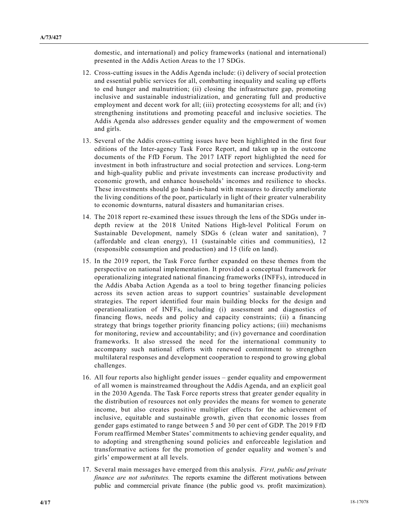domestic, and international) and policy frameworks (national and international) presented in the Addis Action Areas to the 17 SDGs.

- 12. Cross-cutting issues in the Addis Agenda include: (i) delivery of social protection and essential public services for all, combatting inequality and scaling up efforts to end hunger and malnutrition; (ii) closing the infrastructure gap, promoting inclusive and sustainable industrialization, and generating full and productive employment and decent work for all; (iii) protecting ecosystems for all; and (iv) strengthening institutions and promoting peaceful and inclusive societies. The Addis Agenda also addresses gender equality and the empowerment of women and girls.
- 13. Several of the Addis cross-cutting issues have been highlighted in the first four editions of the Inter-agency Task Force Report, and taken up in the outcome documents of the FfD Forum. The 2017 IATF report highlighted the need for investment in both infrastructure and social protection and services. Long-term and high-quality public and private investments can increase productivity and economic growth, and enhance households' incomes and resilience to shocks. These investments should go hand-in-hand with measures to directly ameliorate the living conditions of the poor, particularly in light of their greater vulnerability to economic downturns, natural disasters and humanitarian crises.
- 14. The 2018 report re-examined these issues through the lens of the SDGs under indepth review at the 2018 United Nations High-level Political Forum on Sustainable Development, namely SDGs 6 (clean water and sanitation), 7 (affordable and clean energy), 11 (sustainable cities and communities), 12 (responsible consumption and production) and 15 (life on land).
- 15. In the 2019 report, the Task Force further expanded on these themes from the perspective on national implementation. It provided a conceptual framework for operationalizing integrated national financing frameworks (INFFs), introduced in the Addis Ababa Action Agenda as a tool to bring together financing policies across its seven action areas to support countries' sustainable development strategies. The report identified four main building blocks for the design and operationalization of INFFs, including (i) assessment and diagnostics of financing flows, needs and policy and capacity constraints; (ii) a financing strategy that brings together priority financing policy actions; (iii) mechanisms for monitoring, review and accountability; and (iv) governance and coordination frameworks. It also stressed the need for the international community to accompany such national efforts with renewed commitment to strengthen multilateral responses and development cooperation to respond to growing global challenges.
- 16. All four reports also highlight gender issues gender equality and empowerment of all women is mainstreamed throughout the Addis Agenda, and an explicit goal in the 2030 Agenda. The Task Force reports stress that greater gender equality in the distribution of resources not only provides the means for women to generate income, but also creates positive multiplier effects for the achievement of inclusive, equitable and sustainable growth, given that economic losses from gender gaps estimated to range between 5 and 30 per cent of GDP. The 2019 FfD Forum reaffirmed Member States' commitments to achieving gender equality, and to adopting and strengthening sound policies and enforceable legislation and transformative actions for the promotion of gender equality and women's and girls' empowerment at all levels.
- 17. Several main messages have emerged from this analysis. *First, public and private finance are not substitutes.* The reports examine the different motivations between public and commercial private finance (the public good vs. profit maximization).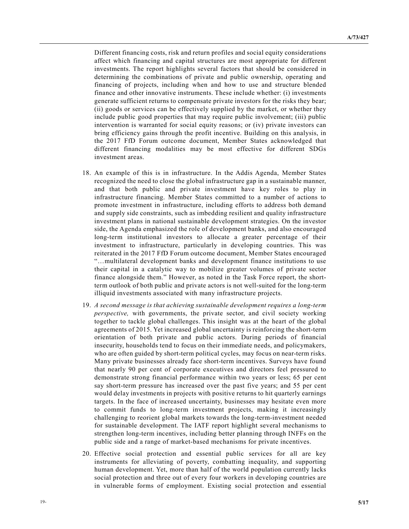Different financing costs, risk and return profiles and social equity considerations affect which financing and capital structures are most appropriate for different investments. The report highlights several factors that should be considered in determining the combinations of private and public ownership, operating and financing of projects, including when and how to use and structure blended finance and other innovative instruments. These include whether: (i) investments generate sufficient returns to compensate private investors for the risks they bear; (ii) goods or services can be effectively supplied by the market, or whether they include public good properties that may require public involvement; (iii) public intervention is warranted for social equity reasons; or (iv) private investors can bring efficiency gains through the profit incentive. Building on this analysis, in the 2017 FfD Forum outcome document, Member States acknowledged that different financing modalities may be most effective for different SDGs investment areas.

- 18. An example of this is in infrastructure. In the Addis Agenda, Member States recognized the need to close the global infrastructure gap in a sustainable manner, and that both public and private investment have key roles to play in infrastructure financing. Member States committed to a number of actions to promote investment in infrastructure, including efforts to address both demand and supply side constraints, such as imbedding resilient and quality infrastructure investment plans in national sustainable development strategies. On the investor side, the Agenda emphasized the role of development banks, and also encouraged long-term institutional investors to allocate a greater percentage of their investment to infrastructure, particularly in developing countries. This was reiterated in the 2017 FfD Forum outcome document, Member States encouraged "…multilateral development banks and development finance institutions to use their capital in a catalytic way to mobilize greater volumes of private sector finance alongside them." However, as noted in the Task Force report, the shortterm outlook of both public and private actors is not well-suited for the long-term illiquid investments associated with many infrastructure projects.
- 19. *A second message is that achieving sustainable development requires a long-term perspective,* with governments, the private sector, and civil society working together to tackle global challenges. This insight was at the heart of the global agreements of 2015. Yet increased global uncertainty is reinforcing the short-term orientation of both private and public actors. During periods of financial insecurity, households tend to focus on their immediate needs, and policymakers, who are often guided by short-term political cycles, may focus on near-term risks. Many private businesses already face short-term incentives. Surveys have found that nearly 90 per cent of corporate executives and directors feel pressured to demonstrate strong financial performance within two years or less; 65 per cent say short-term pressure has increased over the past five years; and 55 per cent would delay investments in projects with positive returns to hit quarterly earnings targets. In the face of increased uncertainty, businesses may hesitate even more to commit funds to long-term investment projects, making it increasingly challenging to reorient global markets towards the long-term-investment needed for sustainable development. The IATF report highlight several mechanisms to strengthen long-term incentives, including better planning through INFFs on the public side and a range of market-based mechanisms for private incentives.
- 20. Effective social protection and essential public services for all are key instruments for alleviating of poverty, combatting inequality, and supporting human development. Yet, more than half of the world population currently lacks social protection and three out of every four workers in developing countries are in vulnerable forms of employment. Existing social protection and essential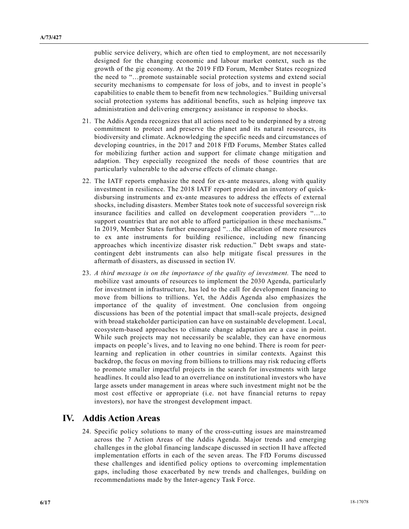public service delivery, which are often tied to employment, are not necessarily designed for the changing economic and labour market context, such as the growth of the gig economy. At the 2019 FfD Forum, Member States recognized the need to "…promote sustainable social protection systems and extend social security mechanisms to compensate for loss of jobs, and to invest in people's capabilities to enable them to benefit from new technologies." Building universal social protection systems has additional benefits, such as helping improve tax administration and delivering emergency assistance in response to shocks.

- 21. The Addis Agenda recognizes that all actions need to be underpinned by a strong commitment to protect and preserve the planet and its natural resources, its biodiversity and climate. Acknowledging the specific needs and circumstances of developing countries, in the 2017 and 2018 FfD Forums, Member States called for mobilizing further action and support for climate change mitigation and adaption. They especially recognized the needs of those countries that are particularly vulnerable to the adverse effects of climate change.
- 22. The IATF reports emphasize the need for ex-ante measures, along with quality investment in resilience. The 2018 IATF report provided an inventory of quickdisbursing instruments and ex-ante measures to address the effects of external shocks, including disasters. Member States took note of successful sovereign risk insurance facilities and called on development cooperation providers "…to support countries that are not able to afford participation in these mechanisms." In 2019, Member States further encouraged "…the allocation of more resources to ex ante instruments for building resilience, including new financing approaches which incentivize disaster risk reduction." Debt swaps and statecontingent debt instruments can also help mitigate fiscal pressures in the aftermath of disasters, as discussed in section IV.
- 23. *A third message is on the importance of the quality of investment.* The need to mobilize vast amounts of resources to implement the 2030 Agenda, particularly for investment in infrastructure, has led to the call for development financing to move from billions to trillions. Yet, the Addis Agenda also emphasizes the importance of the quality of investment. One conclusion from ongoing discussions has been of the potential impact that small-scale projects, designed with broad stakeholder participation can have on sustainable development. Local, ecosystem-based approaches to climate change adaptation are a case in point. While such projects may not necessarily be scalable, they can have enormous impacts on people's lives, and to leaving no one behind. There is room for peerlearning and replication in other countries in similar contexts. Against this backdrop, the focus on moving from billions to trillions may risk reducing efforts to promote smaller impactful projects in the search for investments with large headlines. It could also lead to an overreliance on institutional investors who have large assets under management in areas where such investment might not be the most cost effective or appropriate (i.e. not have financial returns to repay investors), nor have the strongest development impact.

# **IV. Addis Action Areas**

24. Specific policy solutions to many of the cross-cutting issues are mainstreamed across the 7 Action Areas of the Addis Agenda. Major trends and emerging challenges in the global financing landscape discussed in section II have affected implementation efforts in each of the seven areas. The FfD Forums discussed these challenges and identified policy options to overcoming implementation gaps, including those exacerbated by new trends and challenges, building on recommendations made by the Inter-agency Task Force.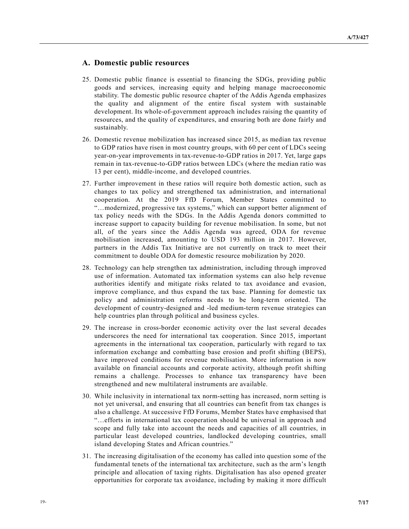### **A. Domestic public resources**

- 25. Domestic public finance is essential to financing the SDGs, providing public goods and services, increasing equity and helping manage macroeconomic stability. The domestic public resource chapter of the Addis Agenda emphasizes the quality and alignment of the entire fiscal system with sustainable development. Its whole-of-government approach includes raising the quantity of resources, and the quality of expenditures, and ensuring both are done fairly and sustainably.
- 26. Domestic revenue mobilization has increased since 2015, as median tax revenue to GDP ratios have risen in most country groups, with 60 per cent of LDCs seeing year-on-year improvements in tax-revenue-to-GDP ratios in 2017. Yet, large gaps remain in tax-revenue-to-GDP ratios between LDCs (where the median ratio was 13 per cent), middle-income, and developed countries.
- 27. Further improvement in these ratios will require both domestic action, such as changes to tax policy and strengthened tax administration, and international cooperation. At the 2019 FfD Forum, Member States committed to "…modernized, progressive tax systems," which can support better alignment of tax policy needs with the SDGs. In the Addis Agenda donors committed to increase support to capacity building for revenue mobilisation. In some, but not all, of the years since the Addis Agenda was agreed, ODA for revenue mobilisation increased, amounting to USD 193 million in 2017. However, partners in the Addis Tax Initiative are not currently on track to meet their commitment to double ODA for domestic resource mobilization by 2020.
- 28. Technology can help strengthen tax administration, including through improved use of information. Automated tax information systems can also help revenue authorities identify and mitigate risks related to tax avoidance and evasion, improve compliance, and thus expand the tax base. Planning for domestic tax policy and administration reforms needs to be long-term oriented. The development of country-designed and -led medium-term revenue strategies can help countries plan through political and business cycles.
- 29. The increase in cross-border economic activity over the last several decades underscores the need for international tax cooperation. Since 2015, important agreements in the international tax cooperation, particularly with regard to tax information exchange and combatting base erosion and profit shifting (BEPS), have improved conditions for revenue mobilisation. More information is now available on financial accounts and corporate activity, although profit shifting remains a challenge. Processes to enhance tax transparency have been strengthened and new multilateral instruments are available.
- 30. While inclusivity in international tax norm-setting has increased, norm setting is not yet universal, and ensuring that all countries can benefit from tax changes is also a challenge. At successive FfD Forums, Member States have emphasised that "…efforts in international tax cooperation should be universal in approach and scope and fully take into account the needs and capacities of all countries, in particular least developed countries, landlocked developing countries, small island developing States and African countries."
- 31. The increasing digitalisation of the economy has called into question some of the fundamental tenets of the international tax architecture, such as the arm's length principle and allocation of taxing rights. Digitalisation has also opened greater opportunities for corporate tax avoidance, including by making it more difficult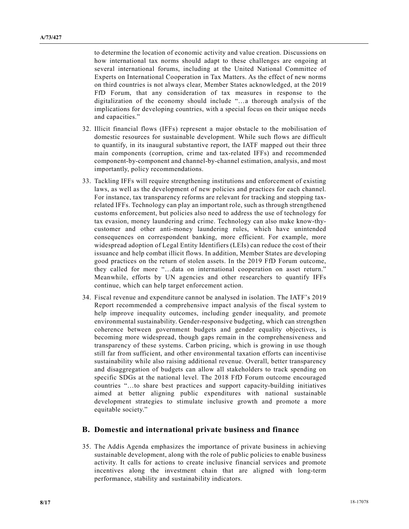to determine the location of economic activity and value creation. Discussions on how international tax norms should adapt to these challenges are ongoing at several international forums, including at the United National Committee of Experts on International Cooperation in Tax Matters. As the effect of new norms on third countries is not always clear, Member States acknowledged, at the 2019 FfD Forum, that any consideration of tax measures in response to the digitalization of the economy should include "…a thorough analysis of the implications for developing countries, with a special focus on their unique needs and capacities."

- 32. Illicit financial flows (IFFs) represent a major obstacle to the mobilisation of domestic resources for sustainable development. While such flows are difficult to quantify, in its inaugural substantive report, the IATF mapped out their three main components (corruption, crime and tax-related IFFs) and recommended component-by-component and channel-by-channel estimation, analysis, and most importantly, policy recommendations.
- 33. Tackling IFFs will require strengthening institutions and enforcement of existing laws, as well as the development of new policies and practices for each channel. For instance, tax transparency reforms are relevant for tracking and stopping taxrelated IFFs. Technology can play an important role, such as through strengthened customs enforcement, but policies also need to address the use of technology for tax evasion, money laundering and crime. Technology can also make know-thycustomer and other anti-money laundering rules, which have unintended consequences on correspondent banking, more efficient. For example, more widespread adoption of Legal Entity Identifiers (LEIs) can reduce the cost of their issuance and help combat illicit flows. In addition, Member States are developing good practices on the return of stolen assets. In the 2019 FfD Forum outcome, they called for more "…data on international cooperation on asset return." Meanwhile, efforts by UN agencies and other researchers to quantify IFFs continue, which can help target enforcement action.
- 34. Fiscal revenue and expenditure cannot be analysed in isolation. The IATF's 2019 Report recommended a comprehensive impact analysis of the fiscal system to help improve inequality outcomes, including gender inequality, and promote environmental sustainability. Gender-responsive budgeting, which can strengthen coherence between government budgets and gender equality objectives, is becoming more widespread, though gaps remain in the comprehensiveness and transparency of these systems. Carbon pricing, which is growing in use though still far from sufficient, and other environmental taxation efforts can incentivise sustainability while also raising additional revenue. Overall, better transparency and disaggregation of budgets can allow all stakeholders to track spending on specific SDGs at the national level. The 2018 FfD Forum outcome encouraged countries "…to share best practices and support capacity-building initiatives aimed at better aligning public expenditures with national sustainable development strategies to stimulate inclusive growth and promote a more equitable society."

#### **B. Domestic and international private business and finance**

35. The Addis Agenda emphasizes the importance of private business in achieving sustainable development, along with the role of public policies to enable business activity. It calls for actions to create inclusive financial services and promote incentives along the investment chain that are aligned with long-term performance, stability and sustainability indicators.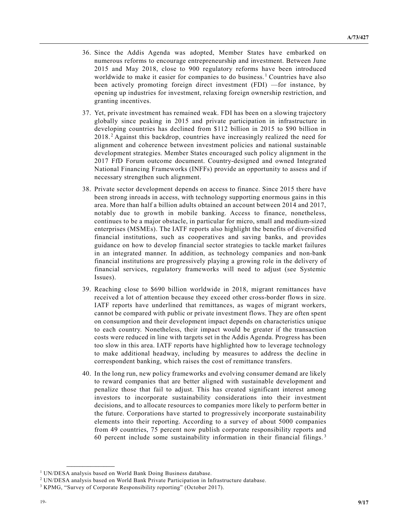- 36. Since the Addis Agenda was adopted, Member States have embarked on numerous reforms to encourage entrepreneurship and investment. Between June 2015 and May 2018, close to 900 regulatory reforms have been introduced worldwide to make it easier for companies to do business.<sup>[1](#page-8-0)</sup> Countries have also been actively promoting foreign direct investment (FDI) —for instance, by opening up industries for investment, relaxing foreign ownership restriction, and granting incentives.
- 37. Yet, private investment has remained weak. FDI has been on a slowing trajectory globally since peaking in 2015 and private participation in infrastructure in developing countries has declined from \$112 billion in 2015 to \$90 billion in 2018. [2](#page-8-1) Against this backdrop, countries have increasingly realized the need for alignment and coherence between investment policies and national sustainable development strategies. Member States encouraged such policy alignment in the 2017 FfD Forum outcome document. Country-designed and owned Integrated National Financing Frameworks (INFFs) provide an opportunity to assess and if necessary strengthen such alignment.
- 38. Private sector development depends on access to finance. Since 2015 there have been strong inroads in access, with technology supporting enormous gains in this area. More than half a billion adults obtained an account between 2014 and 2017, notably due to growth in mobile banking. Access to finance, nonetheless, continues to be a major obstacle, in particular for micro, small and medium-sized enterprises (MSMEs). The IATF reports also highlight the benefits of diversified financial institutions, such as cooperatives and saving banks, and provides guidance on how to develop financial sector strategies to tackle market failures in an integrated manner. In addition, as technology companies and non-bank financial institutions are progressively playing a growing role in the delivery of financial services, regulatory frameworks will need to adjust (see Systemic Issues).
- 39. Reaching close to \$690 billion worldwide in 2018, migrant remittances have received a lot of attention because they exceed other cross-border flows in size. IATF reports have underlined that remittances, as wages of migrant workers, cannot be compared with public or private investment flows. They are often spent on consumption and their development impact depends on characteristics unique to each country. Nonetheless, their impact would be greater if the transaction costs were reduced in line with targets set in the Addis Agenda. Progress has been too slow in this area. IATF reports have highlighted how to leverage technology to make additional headway, including by measures to address the decline in correspondent banking, which raises the cost of remittance transfers.
- 40. In the long run, new policy frameworks and evolving consumer demand are likely to reward companies that are better aligned with sustainable development and penalize those that fail to adjust. This has created significant interest among investors to incorporate sustainability considerations into their investment decisions, and to allocate resources to companies more likely to perform better in the future. Corporations have started to progressively incorporate sustainability elements into their reporting. According to a survey of about 5000 companies from 49 countries, 75 percent now publish corporate responsibility reports and 60 percent include some sustainability information in their financial filings.<sup>[3](#page-8-2)</sup>

**\_\_\_\_\_\_\_\_\_\_\_\_\_\_\_\_\_\_**

<span id="page-8-0"></span><sup>1</sup> UN/DESA analysis based on World Bank Doing Business database.

<span id="page-8-1"></span><sup>2</sup> UN/DESA analysis based on World Bank Private Participation in Infrastructure database.

<span id="page-8-2"></span><sup>3</sup> KPMG, "Survey of Corporate Responsibility reporting" (October 2017).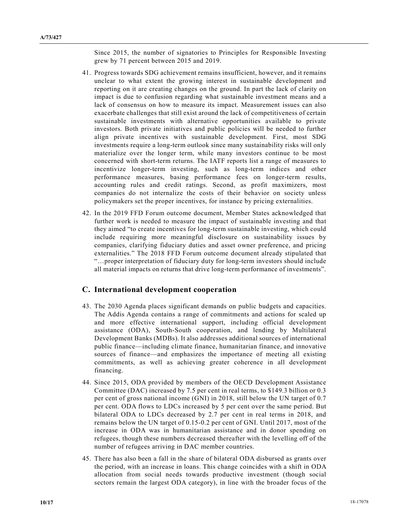Since 2015, the number of signatories to Principles for Responsible Investing grew by 71 percent between 2015 and 2019.

- 41. Progress towards SDG achievement remains insufficient, however, and it remains unclear to what extent the growing interest in sustainable development and reporting on it are creating changes on the ground. In part the lack of clarity on impact is due to confusion regarding what sustainable investment means and a lack of consensus on how to measure its impact. Measurement issues can also exacerbate challenges that still exist around the lack of competitiveness of certain sustainable investments with alternative opportunities available to private investors. Both private initiatives and public policies will be needed to further align private incentives with sustainable development. First, most SDG investments require a long-term outlook since many sustainability risks will only materialize over the longer term, while many investors continue to be most concerned with short-term returns. The IATF reports list a range of measures to incentivize longer-term investing, such as long-term indices and other performance measures, basing performance fees on longer-term results, accounting rules and credit ratings. Second, as profit maximizers, most companies do not internalize the costs of their behavior on society unless policymakers set the proper incentives, for instance by pricing externalities.
- 42. In the 2019 FFD Forum outcome document, Member States acknowledged that further work is needed to measure the impact of sustainable investing and that they aimed "to create incentives for long-term sustainable investing, which could include requiring more meaningful disclosure on sustainability issues by companies, clarifying fiduciary duties and asset owner preference, and pricing externalities." The 2018 FFD Forum outcome document already stipulated that "…proper interpretation of fiduciary duty for long-term investors should include all material impacts on returns that drive long-term performance of investments".

#### **C. International development cooperation**

- 43. The 2030 Agenda places significant demands on public budgets and capacities. The Addis Agenda contains a range of commitments and actions for scaled up and more effective international support, including official development assistance (ODA), South-South cooperation, and lending by Multilateral Development Banks (MDBs). It also addresses additional sources of international public finance—including climate finance, humanitarian finance, and innovative sources of finance—and emphasizes the importance of meeting all existing commitments, as well as achieving greater coherence in all development financing.
- 44. Since 2015, ODA provided by members of the OECD Development Assistance Committee (DAC) increased by 7.5 per cent in real terms, to \$149.3 billion or 0.3 per cent of gross national income (GNI) in 2018, still below the UN target of 0.7 per cent. ODA flows to LDCs increased by 5 per cent over the same period. But bilateral ODA to LDCs decreased by 2.7 per cent in real terms in 2018, and remains below the UN target of 0.15-0.2 per cent of GNI. Until 2017, most of the increase in ODA was in humanitarian assistance and in donor spending on refugees, though these numbers decreased thereafter with the levelling off of the number of refugees arriving in DAC member countries.
- 45. There has also been a fall in the share of bilateral ODA disbursed as grants over the period, with an increase in loans. This change coincides with a shift in ODA allocation from social needs towards productive investment (though social sectors remain the largest ODA category), in line with the broader focus of the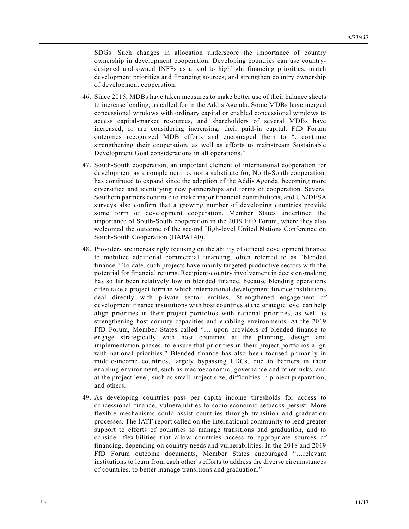SDGs. Such changes in allocation underscore the importance of country ownership in development cooperation. Developing countries can use countrydesigned and owned INFFs as a tool to highlight financing priorities, match development priorities and financing sources, and strengthen country ownership of development cooperation.

- 46. Since 2015, MDBs have taken measures to make better use of their balance sheets to increase lending, as called for in the Addis Agenda. Some MDBs have merged concessional windows with ordinary capital or enabled concessional windows to access capital-market resources, and shareholders of several MDBs have increased, or are considering increasing, their paid-in capital. FfD Forum outcomes recognized MDB efforts and encouraged them to "…continue strengthening their cooperation, as well as efforts to mainstream Sustainable Development Goal considerations in all operations."
- 47. South-South cooperation, an important element of international cooperation for development as a complement to, not a substitute for, North-South cooperation, has continued to expand since the adoption of the Addis Agenda, becoming more diversified and identifying new partnerships and forms of cooperation. Several Southern partners continue to make major financial contributions, and UN/DESA surveys also confirm that a growing number of developing countries provide some form of development cooperation. Member States underlined the importance of South-South cooperation in the 2019 FfD Forum, where they also welcomed the outcome of the second High-level United Nations Conference on South-South Cooperation (BAPA+40).
- 48. Providers are increasingly focusing on the ability of official development finance to mobilize additional commercial financing, often referred to as "blended finance." To date, such projects have mainly targeted productive sectors with the potential for financial returns. Recipient-country involvement in decision-making has so far been relatively low in blended finance, because blending operations often take a project form in which international development finance institutions deal directly with private sector entities. Strengthened engagement of development finance institutions with host countries at the strategic level can help align priorities in their project portfolios with national priorities, as well as strengthening host-country capacities and enabling environments. At the 2019 FfD Forum, Member States called "… upon providers of blended finance to engage strategically with host countries at the planning, design and implementation phases, to ensure that priorities in their project portfolios align with national priorities." Blended finance has also been focused primarily in middle-income countries, largely bypassing LDCs, due to barriers in their enabling environment, such as macroeconomic, governance and other risks, and at the project level, such as small project size, difficulties in project preparation, and others.
- 49. As developing countries pass per capita income thresholds for access to concessional finance, vulnerabilities to socio-economic setbacks persist. More flexible mechanisms could assist countries through transition and graduation processes. The IATF report called on the international community to lend greater support to efforts of countries to manage transitions and graduation, and to consider flexibilities that allow countries access to appropriate sources of financing, depending on country needs and vulnerabilities. In the 2018 and 2019 FfD Forum outcome documents, Member States encouraged "…relevant institutions to learn from each other's efforts to address the diverse circumstances of countries, to better manage transitions and graduation."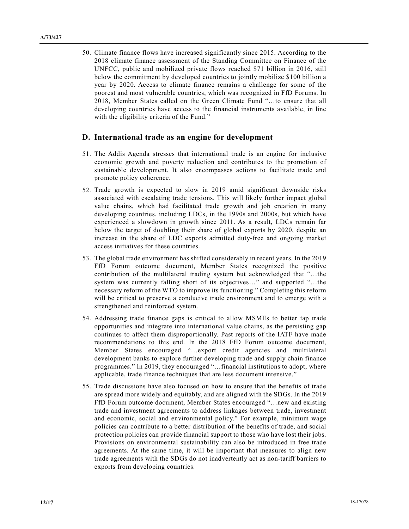50. Climate finance flows have increased significantly since 2015. According to the 2018 climate finance assessment of the Standing Committee on Finance of the UNFCC, public and mobilized private flows reached \$71 billion in 2016, still below the commitment by developed countries to jointly mobilize \$100 billion a year by 2020. Access to climate finance remains a challenge for some of the poorest and most vulnerable countries, which was recognized in FfD Forums. In 2018, Member States called on the Green Climate Fund "…to ensure that all developing countries have access to the financial instruments available, in line with the eligibility criteria of the Fund."

### **D. International trade as an engine for development**

- 51. The Addis Agenda stresses that international trade is an engine for inclusive economic growth and poverty reduction and contributes to the promotion of sustainable development. It also encompasses actions to facilitate trade and promote policy coherence.
- 52. Trade growth is expected to slow in 2019 amid significant downside risks associated with escalating trade tensions. This will likely further impact global value chains, which had facilitated trade growth and job creation in many developing countries, including LDCs, in the 1990s and 2000s, but which have experienced a slowdown in growth since 2011. As a result, LDCs remain far below the target of doubling their share of global exports by 2020, despite an increase in the share of LDC exports admitted duty-free and ongoing market access initiatives for these countries.
- 53. The global trade environment has shifted considerably in recent years. In the 2019 FfD Forum outcome document, Member States recognized the positive contribution of the multilateral trading system but acknowledged that "…the system was currently falling short of its objectives…" and supported "…the necessary reform of the WTO to improve its functioning." Completing this reform will be critical to preserve a conducive trade environment and to emerge with a strengthened and reinforced system.
- 54. Addressing trade finance gaps is critical to allow MSMEs to better tap trade opportunities and integrate into international value chains, as the persisting gap continues to affect them disproportionally. Past reports of the IATF have made recommendations to this end. In the 2018 FfD Forum outcome document, Member States encouraged "…export credit agencies and multilateral development banks to explore further developing trade and supply chain finance programmes." In 2019, they encouraged "…financial institutions to adopt, where applicable, trade finance techniques that are less document intensive."
- 55. Trade discussions have also focused on how to ensure that the benefits of trade are spread more widely and equitably, and are aligned with the SDGs. In the 2019 FfD Forum outcome document, Member States encouraged "…new and existing trade and investment agreements to address linkages between trade, investment and economic, social and environmental policy." For example, minimum wage policies can contribute to a better distribution of the benefits of trade, and social protection policies can provide financial support to those who have lost their jobs. Provisions on environmental sustainability can also be introduced in free trade agreements. At the same time, it will be important that measures to align new trade agreements with the SDGs do not inadvertently act as non-tariff barriers to exports from developing countries.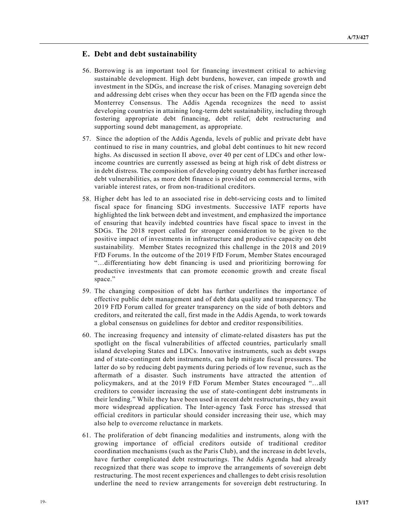## **E. Debt and debt sustainability**

- 56. Borrowing is an important tool for financing investment critical to achieving sustainable development. High debt burdens, however, can impede growth and investment in the SDGs, and increase the risk of crises. Managing sovereign debt and addressing debt crises when they occur has been on the FfD agenda since the Monterrey Consensus. The Addis Agenda recognizes the need to assist developing countries in attaining long-term debt sustainability, including through fostering appropriate debt financing, debt relief, debt restructuring and supporting sound debt management, as appropriate.
- 57. Since the adoption of the Addis Agenda, levels of public and private debt have continued to rise in many countries, and global debt continues to hit new record highs. As discussed in section II above, over 40 per cent of LDCs and other lowincome countries are currently assessed as being at high risk of debt distress or in debt distress. The composition of developing country debt has further increased debt vulnerabilities, as more debt finance is provided on commercial terms, with variable interest rates, or from non-traditional creditors.
- 58. Higher debt has led to an associated rise in debt-servicing costs and to limited fiscal space for financing SDG investments. Successive IATF reports have highlighted the link between debt and investment, and emphasized the importance of ensuring that heavily indebted countries have fiscal space to invest in the SDGs. The 2018 report called for stronger consideration to be given to the positive impact of investments in infrastructure and productive capacity on debt sustainability. Member States recognized this challenge in the 2018 and 2019 FfD Forums. In the outcome of the 2019 FfD Forum, Member States encouraged "…differentiating how debt financing is used and prioritizing borrowing for productive investments that can promote economic growth and create fiscal space."
- 59. The changing composition of debt has further underlines the importance of effective public debt management and of debt data quality and transparency. The 2019 FfD Forum called for greater transparency on the side of both debtors and creditors, and reiterated the call, first made in the Addis Agenda, to work towards a global consensus on guidelines for debtor and creditor responsibilities.
- 60. The increasing frequency and intensity of climate-related disasters has put the spotlight on the fiscal vulnerabilities of affected countries, particularly small island developing States and LDCs. Innovative instruments, such as debt swaps and of state-contingent debt instruments, can help mitigate fiscal pressures. The latter do so by reducing debt payments during periods of low revenue, such as the aftermath of a disaster. Such instruments have attracted the attention of policymakers, and at the 2019 FfD Forum Member States encouraged "…all creditors to consider increasing the use of state-contingent debt instruments in their lending." While they have been used in recent debt restructurings, they await more widespread application. The Inter-agency Task Force has stressed that official creditors in particular should consider increasing their use, which may also help to overcome reluctance in markets.
- 61. The proliferation of debt financing modalities and instruments, along with the growing importance of official creditors outside of traditional creditor coordination mechanisms (such as the Paris Club), and the increase in debt levels, have further complicated debt restructurings. The Addis Agenda had already recognized that there was scope to improve the arrangements of sovereign debt restructuring. The most recent experiences and challenges to debt crisis resolution underline the need to review arrangements for sovereign debt restructuring. In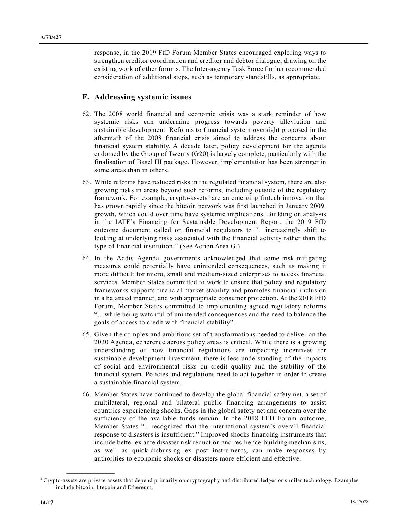response, in the 2019 FfD Forum Member States encouraged exploring ways to strengthen creditor coordination and creditor and debtor dialogue, drawing on the existing work of other forums. The Inter-agency Task Force further recommended consideration of additional steps, such as temporary standstills, as appropriate.

### **F. Addressing systemic issues**

- 62. The 2008 world financial and economic crisis was a stark reminder of how systemic risks can undermine progress towards poverty alleviation and sustainable development. Reforms to financial system oversight proposed in the aftermath of the 2008 financial crisis aimed to address the concerns about financial system stability. A decade later, policy development for the agenda endorsed by the Group of Twenty (G20) is largely complete, particularly with the finalisation of Basel III package. However, implementation has been stronger in some areas than in others.
- 63. While reforms have reduced risks in the regulated financial system, there are also growing risks in areas beyond such reforms, including outside of the regulatory framework. For example, crypto-assets<sup>[4](#page-13-0)</sup> are an emerging fintech innovation that has grown rapidly since the bitcoin network was first launched in January 2009, growth, which could over time have systemic implications. Building on analysis in the IATF's Financing for Sustainable Development Report, the 2019 FfD outcome document called on financial regulators to "…increasingly shift to looking at underlying risks associated with the financial activity rather than the type of financial institution." (See Action Area G.)
- 64. In the Addis Agenda governments acknowledged that some risk-mitigating measures could potentially have unintended consequences, such as making it more difficult for micro, small and medium-sized enterprises to access financial services. Member States committed to work to ensure that policy and regulatory frameworks supports financial market stability and promotes financial inclusion in a balanced manner, and with appropriate consumer protection. At the 2018 FfD Forum, Member States committed to implementing agreed regulatory reforms "…while being watchful of unintended consequences and the need to balance the goals of access to credit with financial stability".
- 65. Given the complex and ambitious set of transformations needed to deliver on the 2030 Agenda, coherence across policy areas is critical. While there is a growing understanding of how financial regulations are impacting incentives for sustainable development investment, there is less understanding of the impacts of social and environmental risks on credit quality and the stability of the financial system. Policies and regulations need to act together in order to create a sustainable financial system.
- 66. Member States have continued to develop the global financial safety net, a set of multilateral, regional and bilateral public financing arrangements to assist countries experiencing shocks. Gaps in the global safety net and concern over the sufficiency of the available funds remain. In the 2018 FFD Forum outcome, Member States "…recognized that the international system's overall financial response to disasters is insufficient." Improved shocks financing instruments that include better ex ante disaster risk reduction and resilience-building mechanisms, as well as quick-disbursing ex post instruments, can make responses by authorities to economic shocks or disasters more efficient and effective.

**\_\_\_\_\_\_\_\_\_\_\_\_\_\_\_\_\_\_**

<span id="page-13-0"></span><sup>4</sup> Crypto-assets are private assets that depend primarily on cryptography and distributed ledger or similar technology. Examples include bitcoin, litecoin and Ethereum.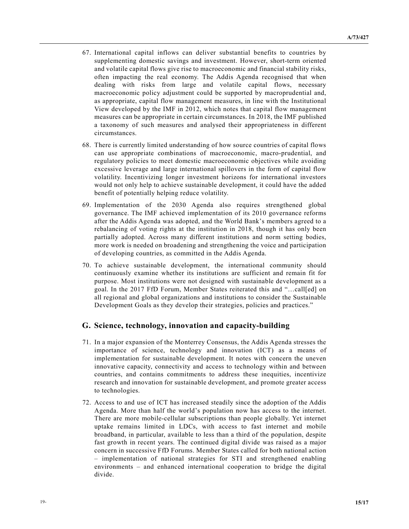- 67. International capital inflows can deliver substantial benefits to countries by supplementing domestic savings and investment. However, short-term oriented and volatile capital flows give rise to macroeconomic and financial stability risks, often impacting the real economy. The Addis Agenda recognised that when dealing with risks from large and volatile capital flows, necessary macroeconomic policy adjustment could be supported by macroprudential and, as appropriate, capital flow management measures, in line with the Institutional View developed by the IMF in 2012, which notes that capital flow management measures can be appropriate in certain circumstances. In 2018, the IMF published a taxonomy of such measures and analysed their appropriateness in different circumstances.
- 68. There is currently limited understanding of how source countries of capital flows can use appropriate combinations of macroeconomic, macro-prudential, and regulatory policies to meet domestic macroeconomic objectives while avoiding excessive leverage and large international spillovers in the form of capital flow volatility. Incentivizing longer investment horizons for international investors would not only help to achieve sustainable development, it could have the added benefit of potentially helping reduce volatility.
- 69. Implementation of the 2030 Agenda also requires strengthened global governance. The IMF achieved implementation of its 2010 governance reforms after the Addis Agenda was adopted, and the World Bank's members agreed to a rebalancing of voting rights at the institution in 2018, though it has only been partially adopted. Across many different institutions and norm setting bodies, more work is needed on broadening and strengthening the voice and participation of developing countries, as committed in the Addis Agenda.
- 70. To achieve sustainable development, the international community should continuously examine whether its institutions are sufficient and remain fit for purpose. Most institutions were not designed with sustainable development as a goal. In the 2017 FfD Forum, Member States reiterated this and "…call[ed] on all regional and global organizations and institutions to consider the Sustainable Development Goals as they develop their strategies, policies and practices."

## **G. Science, technology, innovation and capacity-building**

- 71. In a major expansion of the Monterrey Consensus, the Addis Agenda stresses the importance of science, technology and innovation (ICT) as a means of implementation for sustainable development. It notes with concern the uneven innovative capacity, connectivity and access to technology within and between countries, and contains commitments to address these inequities, incentivize research and innovation for sustainable development, and promote greater access to technologies.
- 72. Access to and use of ICT has increased steadily since the adoption of the Addis Agenda. More than half the world's population now has access to the internet. There are more mobile-cellular subscriptions than people globally. Yet internet uptake remains limited in LDCs, with access to fast internet and mobile broadband, in particular, available to less than a third of the population, despite fast growth in recent years. The continued digital divide was raised as a major concern in successive FfD Forums. Member States called for both national action – implementation of national strategies for STI and strengthened enabling environments – and enhanced international cooperation to bridge the digital divide.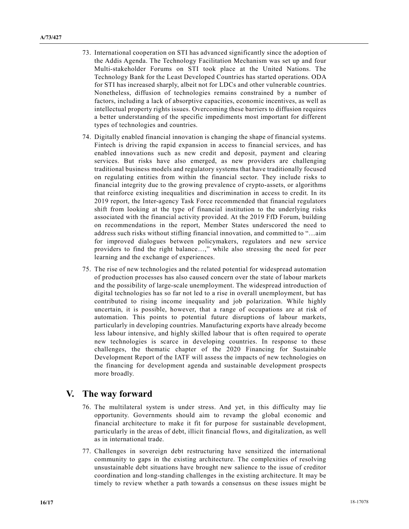- 73. International cooperation on STI has advanced significantly since the adoption of the Addis Agenda. The Technology Facilitation Mechanism was set up and four Multi-stakeholder Forums on STI took place at the United Nations. The Technology Bank for the Least Developed Countries has started operations. ODA for STI has increased sharply, albeit not for LDCs and other vulnerable countries. Nonetheless, diffusion of technologies remains constrained by a number of factors, including a lack of absorptive capacities, economic incentives, as well as intellectual property rights issues. Overcoming these barriers to diffusion requires a better understanding of the specific impediments most important for different types of technologies and countries.
- 74. Digitally enabled financial innovation is changing the shape of financial systems. Fintech is driving the rapid expansion in access to financial services, and has enabled innovations such as new credit and deposit, payment and clearing services. But risks have also emerged, as new providers are challenging traditional business models and regulatory systems that have traditionally focused on regulating entities from within the financial sector. They include risks to financial integrity due to the growing prevalence of crypto-assets, or algorithms that reinforce existing inequalities and discrimination in access to credit. In its 2019 report, the Inter-agency Task Force recommended that financial regulators shift from looking at the type of financial institution to the underlying risks associated with the financial activity provided. At the 2019 FfD Forum, building on recommendations in the report, Member States underscored the need to address such risks without stifling financial innovation, and committed to "…aim for improved dialogues between policymakers, regulators and new service providers to find the right balance…," while also stressing the need for peer learning and the exchange of experiences.
- 75. The rise of new technologies and the related potential for widespread automation of production processes has also caused concern over the state of labour markets and the possibility of large-scale unemployment. The widespread introduction of digital technologies has so far not led to a rise in overall unemployment, but has contributed to rising income inequality and job polarization. While highly uncertain, it is possible, however, that a range of occupations are at risk of automation. This points to potential future disruptions of labour markets, particularly in developing countries. Manufacturing exports have already become less labour intensive, and highly skilled labour that is often required to operate new technologies is scarce in developing countries. In response to these challenges, the thematic chapter of the 2020 Financing for Sustainable Development Report of the IATF will assess the impacts of new technologies on the financing for development agenda and sustainable development prospects more broadly.

# **V. The way forward**

- 76. The multilateral system is under stress. And yet, in this difficulty may lie opportunity. Governments should aim to revamp the global economic and financial architecture to make it fit for purpose for sustainable development, particularly in the areas of debt, illicit financial flows, and digitalization, as well as in international trade.
- 77. Challenges in sovereign debt restructuring have sensitized the international community to gaps in the existing architecture. The complexities of resolving unsustainable debt situations have brought new salience to the issue of creditor coordination and long-standing challenges in the existing architecture. It may be timely to review whether a path towards a consensus on these issues might be